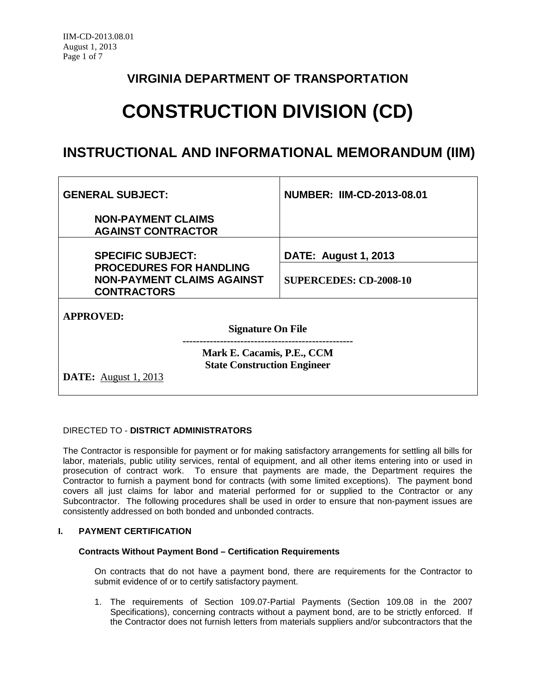### **VIRGINIA DEPARTMENT OF TRANSPORTATION**

# **CONSTRUCTION DIVISION (CD)**

## **INSTRUCTIONAL AND INFORMATIONAL MEMORANDUM (IIM)**

| <b>GENERAL SUBJECT:</b>                                                                         | <b>NUMBER: IIM-CD-2013-08.01</b> |  |
|-------------------------------------------------------------------------------------------------|----------------------------------|--|
| <b>NON-PAYMENT CLAIMS</b><br><b>AGAINST CONTRACTOR</b>                                          |                                  |  |
| <b>SPECIFIC SUBJECT:</b>                                                                        | <b>DATE: August 1, 2013</b>      |  |
| <b>PROCEDURES FOR HANDLING</b><br><b>NON-PAYMENT CLAIMS AGAINST</b><br><b>CONTRACTORS</b>       | <b>SUPERCEDES: CD-2008-10</b>    |  |
| <b>APPROVED:</b><br><b>Signature On File</b>                                                    |                                  |  |
| Mark E. Cacamis, P.E., CCM<br><b>State Construction Engineer</b><br><b>DATE:</b> August 1, 2013 |                                  |  |

#### DIRECTED TO - **DISTRICT ADMINISTRATORS**

The Contractor is responsible for payment or for making satisfactory arrangements for settling all bills for labor, materials, public utility services, rental of equipment, and all other items entering into or used in prosecution of contract work. To ensure that payments are made, the Department requires the Contractor to furnish a payment bond for contracts (with some limited exceptions). The payment bond covers all just claims for labor and material performed for or supplied to the Contractor or any Subcontractor. The following procedures shall be used in order to ensure that non-payment issues are consistently addressed on both bonded and unbonded contracts.

#### **I. PAYMENT CERTIFICATION**

#### **Contracts Without Payment Bond – Certification Requirements**

On contracts that do not have a payment bond, there are requirements for the Contractor to submit evidence of or to certify satisfactory payment.

1. The requirements of Section 109.07-Partial Payments (Section 109.08 in the 2007 Specifications), concerning contracts without a payment bond, are to be strictly enforced. If the Contractor does not furnish letters from materials suppliers and/or subcontractors that the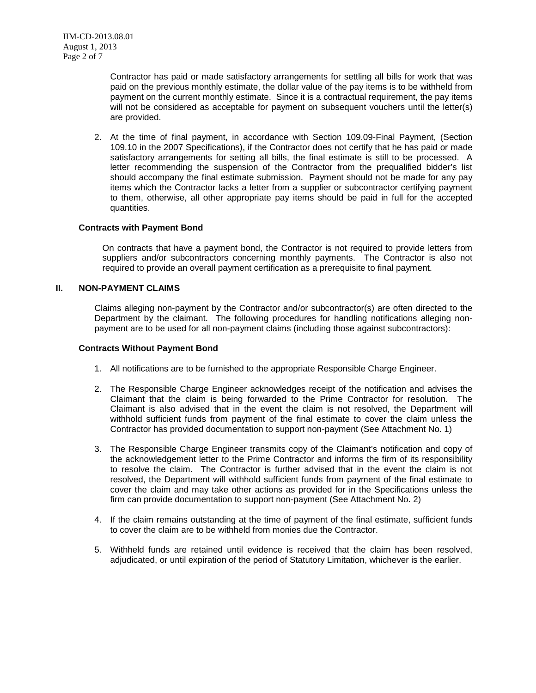Contractor has paid or made satisfactory arrangements for settling all bills for work that was paid on the previous monthly estimate, the dollar value of the pay items is to be withheld from payment on the current monthly estimate. Since it is a contractual requirement, the pay items will not be considered as acceptable for payment on subsequent vouchers until the letter(s) are provided.

2. At the time of final payment, in accordance with Section 109.09-Final Payment, (Section 109.10 in the 2007 Specifications), if the Contractor does not certify that he has paid or made satisfactory arrangements for setting all bills, the final estimate is still to be processed. A letter recommending the suspension of the Contractor from the prequalified bidder's list should accompany the final estimate submission. Payment should not be made for any pay items which the Contractor lacks a letter from a supplier or subcontractor certifying payment to them, otherwise, all other appropriate pay items should be paid in full for the accepted quantities.

#### **Contracts with Payment Bond**

On contracts that have a payment bond, the Contractor is not required to provide letters from suppliers and/or subcontractors concerning monthly payments. The Contractor is also not required to provide an overall payment certification as a prerequisite to final payment.

#### **II. NON-PAYMENT CLAIMS**

Claims alleging non-payment by the Contractor and/or subcontractor(s) are often directed to the Department by the claimant. The following procedures for handling notifications alleging nonpayment are to be used for all non-payment claims (including those against subcontractors):

#### **Contracts Without Payment Bond**

- 1. All notifications are to be furnished to the appropriate Responsible Charge Engineer.
- 2. The Responsible Charge Engineer acknowledges receipt of the notification and advises the Claimant that the claim is being forwarded to the Prime Contractor for resolution. The Claimant is also advised that in the event the claim is not resolved, the Department will withhold sufficient funds from payment of the final estimate to cover the claim unless the Contractor has provided documentation to support non-payment (See Attachment No. 1)
- 3. The Responsible Charge Engineer transmits copy of the Claimant's notification and copy of the acknowledgement letter to the Prime Contractor and informs the firm of its responsibility to resolve the claim. The Contractor is further advised that in the event the claim is not resolved, the Department will withhold sufficient funds from payment of the final estimate to cover the claim and may take other actions as provided for in the Specifications unless the firm can provide documentation to support non-payment (See Attachment No. 2)
- 4. If the claim remains outstanding at the time of payment of the final estimate, sufficient funds to cover the claim are to be withheld from monies due the Contractor.
- 5. Withheld funds are retained until evidence is received that the claim has been resolved, adjudicated, or until expiration of the period of Statutory Limitation, whichever is the earlier.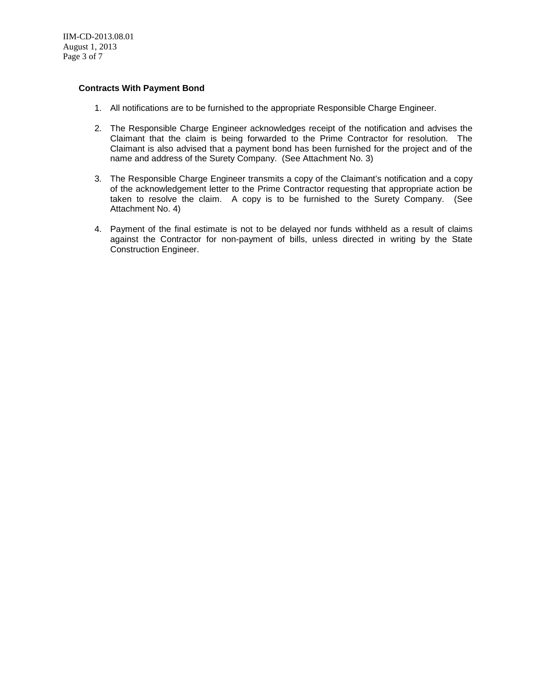#### **Contracts With Payment Bond**

- 1. All notifications are to be furnished to the appropriate Responsible Charge Engineer.
- 2. The Responsible Charge Engineer acknowledges receipt of the notification and advises the Claimant that the claim is being forwarded to the Prime Contractor for resolution. The Claimant is also advised that a payment bond has been furnished for the project and of the name and address of the Surety Company. (See Attachment No. 3)
- 3. The Responsible Charge Engineer transmits a copy of the Claimant's notification and a copy of the acknowledgement letter to the Prime Contractor requesting that appropriate action be taken to resolve the claim. A copy is to be furnished to the Surety Company. (See Attachment No. 4)
- 4. Payment of the final estimate is not to be delayed nor funds withheld as a result of claims against the Contractor for non-payment of bills, unless directed in writing by the State Construction Engineer.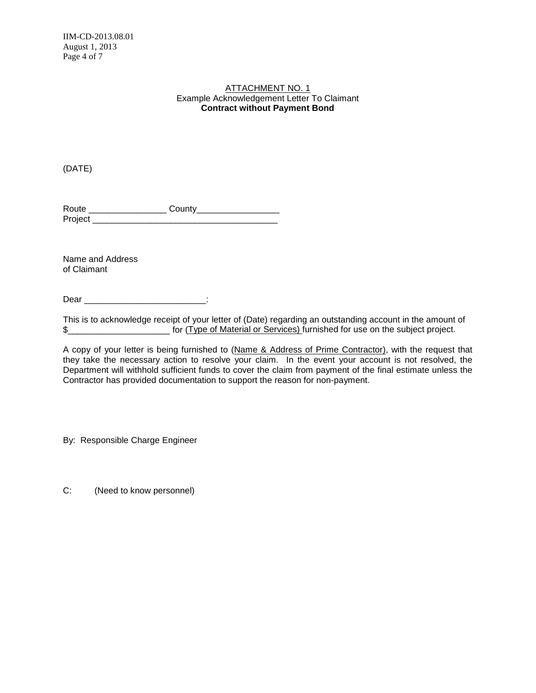#### Example Acknowledgement Letter To Claimant ATTACHMENT NO. 1 **Contract without Payment Bond**

(DATE)

Route \_\_\_\_\_\_\_\_\_\_\_\_\_\_\_\_ County\_\_\_\_\_\_\_\_\_\_\_\_\_\_\_\_\_ Project **and the set of the set of the set of the set of the set of the set of the set of the set of the set of the set of the set of the set of the set of the set of the set of the set of the set of the set of the set of** 

Name and Address of Claimant

Dear **Dear Example 20** 

This is to acknowledge receipt of your letter of (Date) regarding an outstanding account in the amount of \$\_\_\_\_\_\_\_\_\_\_\_\_\_\_\_\_\_\_\_\_\_\_\_\_\_\_\_\_\_ for (Type of Material or Services) furnished for use on the subject project.

A copy of your letter is being furnished to (Name & Address of Prime Contractor), with the request that they take the necessary action to resolve your claim. In the event your account is not resolved, the Department will withhold sufficient funds to cover the claim from payment of the final estimate unless the Contractor has provided documentation to support the reason for non-payment.

By: Responsible Charge Engineer

C: (Need to know personnel)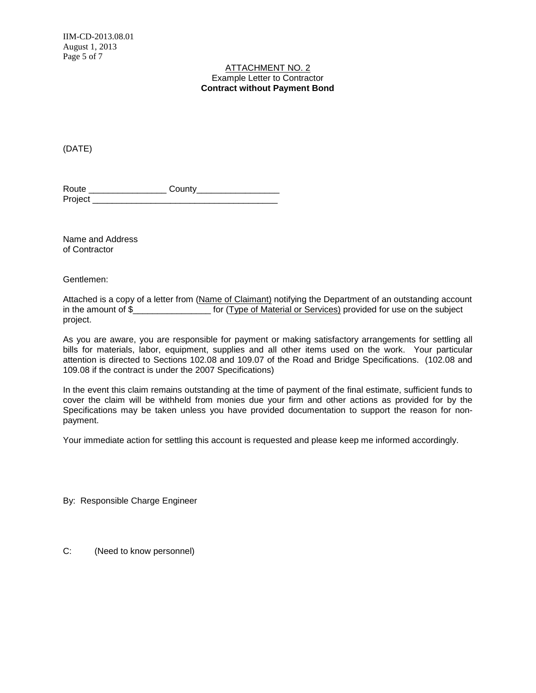IIM-CD-2013.08.01 August 1, 2013 Page 5 of 7

#### Example Letter to Contractor ATTACHMENT NO. 2 **Contract without Payment Bond**

(DATE)

| Route   | County |
|---------|--------|
| Project |        |

Name and Address of Contractor

Gentlemen:

Attached is a copy of a letter from (Name of Claimant) notifying the Department of an outstanding account in the amount of \$\_\_\_\_\_\_\_\_\_\_\_\_\_\_\_\_\_\_\_\_\_ for (Type of Material or Services) provided for use on the subject project.

As you are aware, you are responsible for payment or making satisfactory arrangements for settling all bills for materials, labor, equipment, supplies and all other items used on the work. Your particular attention is directed to Sections 102.08 and 109.07 of the Road and Bridge Specifications. (102.08 and 109.08 if the contract is under the 2007 Specifications)

In the event this claim remains outstanding at the time of payment of the final estimate, sufficient funds to cover the claim will be withheld from monies due your firm and other actions as provided for by the Specifications may be taken unless you have provided documentation to support the reason for nonpayment.

Your immediate action for settling this account is requested and please keep me informed accordingly.

By: Responsible Charge Engineer

C: (Need to know personnel)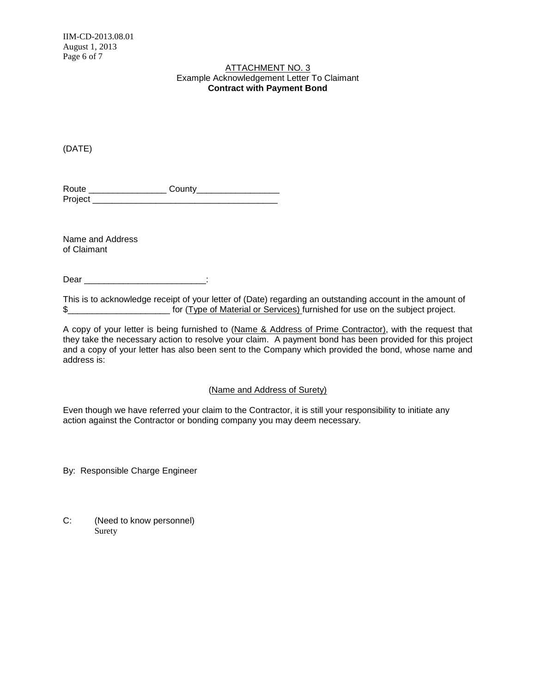#### Example Acknowledgement Letter To Claimant ATTACHMENT NO. 3 **Contract with Payment Bond**

(DATE)

| Route   | County |
|---------|--------|
| Project |        |

Name and Address of Claimant

Dear **Dear Example 20** 

This is to acknowledge receipt of your letter of (Date) regarding an outstanding account in the amount of \$

A copy of your letter is being furnished to (Name & Address of Prime Contractor), with the request that they take the necessary action to resolve your claim. A payment bond has been provided for this project and a copy of your letter has also been sent to the Company which provided the bond, whose name and address is:

#### (Name and Address of Surety)

Even though we have referred your claim to the Contractor, it is still your responsibility to initiate any action against the Contractor or bonding company you may deem necessary.

By: Responsible Charge Engineer

C: (Need to know personnel) Surety